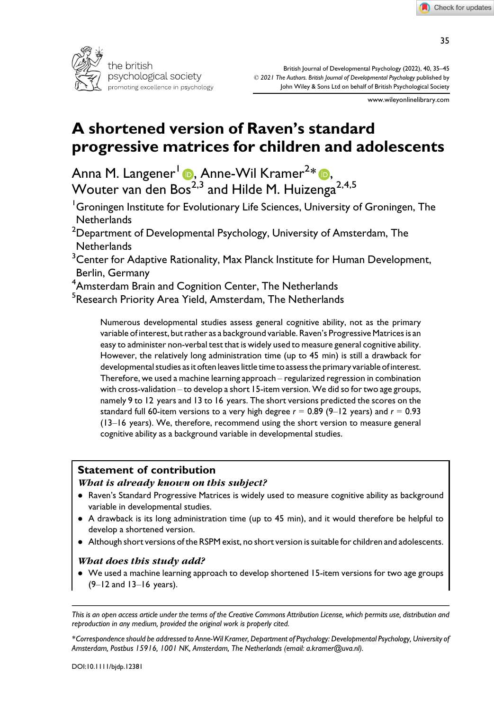

British Journal of Developmental Psychology (2022), 40, 35–45 © 2021 The Authors. British Journal of Developmental Psychology published by John Wiley & Sons Ltd on behalf of British Psychological Society

www.wileyonlinelibrary.com

# A shortened version of Raven's standard progressive matrices for children and adolescents

Anna M. Langener<sup>[1](https://orcid.org/0000-0003-0058-0263)</sup> (D, Anne-Wil Kramer<sup>2</sup>\* (D, Wouter van den Bos $^{2,3}$  and Hilde M. Huizenga $^{2,4,5}$ 

<sup>1</sup>Groningen Institute for Evolutionary Life Sciences, University of Groningen, The **Netherlands** 

 $^{\rm 2}$ Department of Developmental Psychology, University of Amsterdam, The **Netherlands** 

 $^3$ Center for Adaptive Rationality, Max Planck Institute for Human Development, Berlin, Germany

<sup>4</sup>Amsterdam Brain and Cognition Center, The Netherlands

<sup>5</sup>Research Priority Area Yield, Amsterdam, The Netherlands

Numerous developmental studies assess general cognitive ability, not as the primary variable of interest, but rather as a background variable. Raven's Progressive Matrices is an easy to administer non-verbal test that is widely used to measure general cognitive ability. However, the relatively long administration time (up to 45 min) is still a drawback for developmental studies as it often leaves little time to assess the primary variable of interest. Therefore, we used a machine learning approach – regularized regression in combination with cross-validation – to develop a short 15-item version. We did so for two age groups, namely 9 to 12 years and 13 to 16 years. The short versions predicted the scores on the standard full 60-item versions to a very high degree  $r = 0.89$  (9–12 years) and  $r = 0.93$ (13–16 years). We, therefore, recommend using the short version to measure general cognitive ability as a background variable in developmental studies.

## Statement of contribution

#### What is already known on this subject?

- Raven's Standard Progressive Matrices is widely used to measure cognitive ability as background variable in developmental studies.
- A drawback is its long administration time (up to 45 min), and it would therefore be helpful to develop a shortened version.
- Although short versions of the RSPM exist, no short version is suitable for children and adolescents.

## What does this study add?

 We used a machine learning approach to develop shortened 15-item versions for two age groups (9–12 and 13–16 years).

This is an open access article under the terms of the [Creative Commons Attribution](http://creativecommons.org/licenses/by/4.0/) License, which permits use, distribution and reproduction in any medium, provided the original work is properly cited.

<sup>\*</sup>Correspondence should be addressed to Anne-Wil Kramer, Department of Psychology: Developmental Psychology, University of Amsterdam, Postbus 15916, 1001 NK, Amsterdam, The Netherlands (email: [a.kramer@uva.nl\)](mailto:).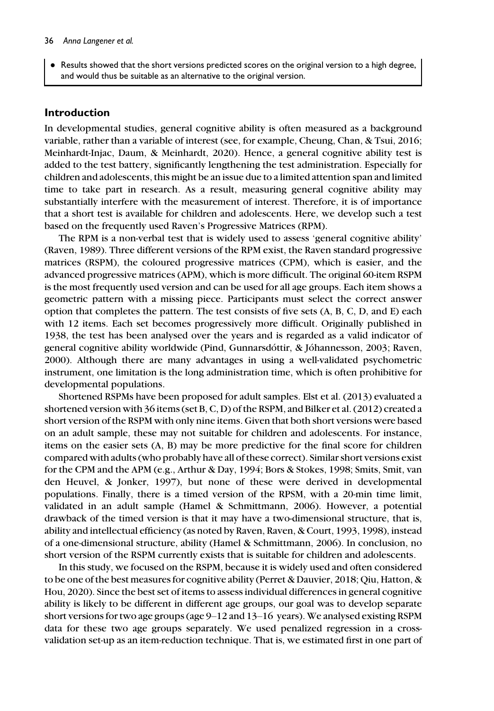Results showed that the short versions predicted scores on the original version to a high degree, and would thus be suitable as an alternative to the original version.

## Introduction

In developmental studies, general cognitive ability is often measured as a background variable, rather than a variable of interest (see, for example, Cheung, Chan, & Tsui, 2016; Meinhardt-Injac, Daum, & Meinhardt, 2020). Hence, a general cognitive ability test is added to the test battery, significantly lengthening the test administration. Especially for children and adolescents, this might be an issue due to a limited attention span and limited time to take part in research. As a result, measuring general cognitive ability may substantially interfere with the measurement of interest. Therefore, it is of importance that a short test is available for children and adolescents. Here, we develop such a test based on the frequently used Raven's Progressive Matrices (RPM).

The RPM is a non-verbal test that is widely used to assess 'general cognitive ability' (Raven, 1989). Three different versions of the RPM exist, the Raven standard progressive matrices (RSPM), the coloured progressive matrices (CPM), which is easier, and the advanced progressive matrices (APM), which is more difficult. The original 60-item RSPM is the most frequently used version and can be used for all age groups. Each item shows a geometric pattern with a missing piece. Participants must select the correct answer option that completes the pattern. The test consists of five sets  $(A, B, C, D, and E)$  each with 12 items. Each set becomes progressively more difficult. Originally published in 1938, the test has been analysed over the years and is regarded as a valid indicator of general cognitive ability worldwide (Pind, Gunnarsdóttir, & Jóhannesson, 2003; Raven, 2000). Although there are many advantages in using a well-validated psychometric instrument, one limitation is the long administration time, which is often prohibitive for developmental populations.

Shortened RSPMs have been proposed for adult samples. Elst et al. (2013) evaluated a shortened version with 36 items (set B, C, D) of the RSPM, and Bilker et al. (2012) created a short version of the RSPM with only nine items. Given that both short versions were based on an adult sample, these may not suitable for children and adolescents. For instance, items on the easier sets (A, B) may be more predictive for the final score for children compared with adults (who probably have all of these correct). Similar short versions exist for the CPM and the APM (e.g., Arthur & Day, 1994; Bors & Stokes, 1998; Smits, Smit, van den Heuvel, & Jonker, 1997), but none of these were derived in developmental populations. Finally, there is a timed version of the RPSM, with a 20-min time limit, validated in an adult sample (Hamel & Schmittmann, 2006). However, a potential drawback of the timed version is that it may have a two-dimensional structure, that is, ability and intellectual efficiency (as noted by Raven, Raven, & Court, 1993, 1998), instead of a one-dimensional structure, ability (Hamel & Schmittmann, 2006). In conclusion, no short version of the RSPM currently exists that is suitable for children and adolescents.

In this study, we focused on the RSPM, because it is widely used and often considered to be one of the best measures for cognitive ability (Perret & Dauvier, 2018; Qiu, Hatton, & Hou, 2020). Since the best set of items to assess individual differences in general cognitive ability is likely to be different in different age groups, our goal was to develop separate short versions for two age groups (age 9–12 and 13–16 years). We analysed existing RSPM data for these two age groups separately. We used penalized regression in a crossvalidation set-up as an item-reduction technique. That is, we estimated first in one part of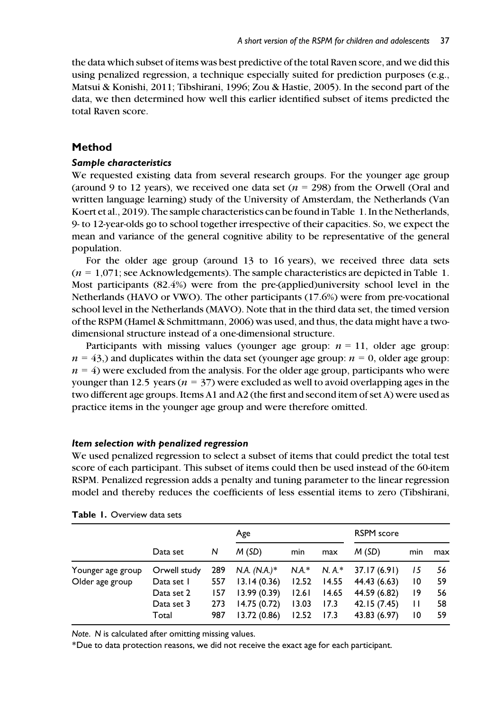the data which subset of items was best predictive of the total Raven score, and we did this using penalized regression, a technique especially suited for prediction purposes (e.g., Matsui & Konishi, 2011; Tibshirani, 1996; Zou & Hastie, 2005). In the second part of the data, we then determined how well this earlier identified subset of items predicted the total Raven score.

## Method

### Sample characteristics

We requested existing data from several research groups. For the younger age group (around 9 to 12 years), we received one data set ( $n = 298$ ) from the Orwell (Oral and written language learning) study of the University of Amsterdam, the Netherlands (Van Koert et al., 2019). The sample characteristics can be found in Table 1. In the Netherlands, 9- to 12-year-olds go to school together irrespective of their capacities. So, we expect the mean and variance of the general cognitive ability to be representative of the general population.

For the older age group (around 13 to 16 years), we received three data sets  $(n = 1.071$ ; see Acknowledgements). The sample characteristics are depicted in Table 1. Most participants (82.4%) were from the pre-(applied)university school level in the Netherlands (HAVO or VWO). The other participants (17.6%) were from pre-vocational school level in the Netherlands (MAVO). Note that in the third data set, the timed version of the RSPM (Hamel & Schmittmann, 2006) was used, and thus, the data might have a twodimensional structure instead of a one-dimensional structure.

Participants with missing values (younger age group:  $n = 11$ , older age group:  $n = 43$ ,) and duplicates within the data set (younger age group:  $n = 0$ , older age group:  $n = 4$ ) were excluded from the analysis. For the older age group, participants who were younger than 12.5 years ( $n = 37$ ) were excluded as well to avoid overlapping ages in the two different age groups. Items A1 and A2 (the first and second item of set A) were used as practice items in the younger age group and were therefore omitted.

#### Item selection with penalized regression

We used penalized regression to select a subset of items that could predict the total test score of each participant. This subset of items could then be used instead of the 60-item RSPM. Penalized regression adds a penalty and tuning parameter to the linear regression model and thereby reduces the coefficients of less essential items to zero (Tibshirani,

|                   |              |     | Age            |       |       | <b>RSPM</b> score         |     |     |
|-------------------|--------------|-----|----------------|-------|-------|---------------------------|-----|-----|
|                   | Data set     | N   | M(SD)          | min   | max   | M(SD)                     | min | max |
| Younger age group | Orwell study | 289 | $N.A. (N.A.)*$ |       |       | $N.A.* N.A.* 37.17(6.91)$ | 15  | 56  |
| Older age group   | Data set 1   | 557 | 13.14(0.36)    | 12.52 | 14.55 | 44.43 (6.63)              | 10  | 59  |
|                   | Data set 2   | 157 | 13.99(0.39)    | 12.61 | 14.65 | 44.59 (6.82)              | 19  | 56  |
|                   | Data set 3   | 273 | 14.75(0.72)    | 13.03 | 17.3  | 42.15 (7.45)              | П   | 58  |
|                   | Total        | 987 | 13.72(0.86)    | 12.52 | 17.3  | 43.83 (6.97)              | 10  | 59  |

Table 1. Overview data sets

Note. N is calculated after omitting missing values.

\*Due to data protection reasons, we did not receive the exact age for each participant.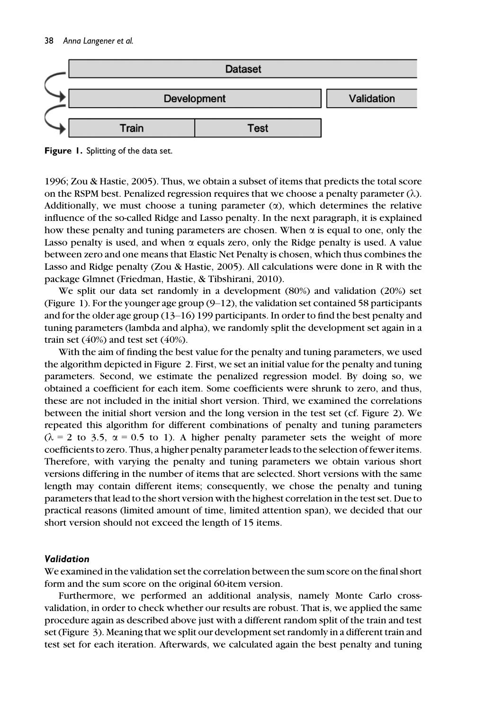

Figure 1. Splitting of the data set.

1996; Zou & Hastie, 2005). Thus, we obtain a subset of items that predicts the total score on the RSPM best. Penalized regression requires that we choose a penalty parameter  $(\lambda)$ . Additionally, we must choose a tuning parameter  $(\alpha)$ , which determines the relative influence of the so-called Ridge and Lasso penalty. In the next paragraph, it is explained how these penalty and tuning parameters are chosen. When  $\alpha$  is equal to one, only the Lasso penalty is used, and when  $\alpha$  equals zero, only the Ridge penalty is used. A value between zero and one means that Elastic Net Penalty is chosen, which thus combines the Lasso and Ridge penalty (Zou & Hastie, 2005). All calculations were done in R with the package Glmnet (Friedman, Hastie, & Tibshirani, 2010).

We split our data set randomly in a development (80%) and validation (20%) set (Figure 1). For the younger age group  $(9-12)$ , the validation set contained 58 participants and for the older age group (13–16) 199 participants. In order to find the best penalty and tuning parameters (lambda and alpha), we randomly split the development set again in a train set  $(40%)$  and test set  $(40%).$ 

With the aim of finding the best value for the penalty and tuning parameters, we used the algorithm depicted in Figure 2. First, we set an initial value for the penalty and tuning parameters. Second, we estimate the penalized regression model. By doing so, we obtained a coefficient for each item. Some coefficients were shrunk to zero, and thus, these are not included in the initial short version. Third, we examined the correlations between the initial short version and the long version in the test set (cf. Figure 2). We repeated this algorithm for different combinations of penalty and tuning parameters  $(\lambda = 2$  to 3.5,  $\alpha = 0.5$  to 1). A higher penalty parameter sets the weight of more coefficients to zero. Thus, a higher penalty parameter leads to the selection of fewer items. Therefore, with varying the penalty and tuning parameters we obtain various short versions differing in the number of items that are selected. Short versions with the same length may contain different items; consequently, we chose the penalty and tuning parameters that lead to the short version with the highest correlation in the test set. Due to practical reasons (limited amount of time, limited attention span), we decided that our short version should not exceed the length of 15 items.

#### Validation

We examined in the validation set the correlation between the sum score on the final short form and the sum score on the original 60-item version.

Furthermore, we performed an additional analysis, namely Monte Carlo crossvalidation, in order to check whether our results are robust. That is, we applied the same procedure again as described above just with a different random split of the train and test set (Figure 3). Meaning that we split our development set randomly in a different train and test set for each iteration. Afterwards, we calculated again the best penalty and tuning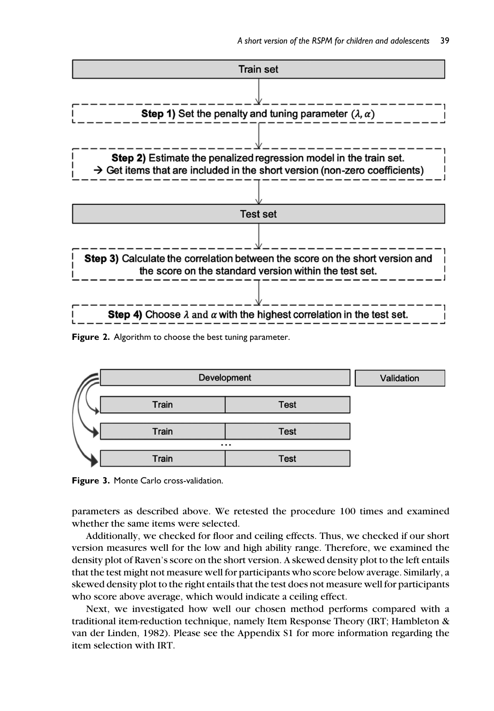

Figure 2. Algorithm to choose the best tuning parameter.



Figure 3. Monte Carlo cross-validation.

parameters as described above. We retested the procedure 100 times and examined whether the same items were selected.

Additionally, we checked for floor and ceiling effects. Thus, we checked if our short version measures well for the low and high ability range. Therefore, we examined the density plot of Raven's score on the short version. A skewed density plot to the left entails that the test might not measure well for participants who score below average. Similarly, a skewed density plot to the right entails that the test does not measure well for participants who score above average, which would indicate a ceiling effect.

Next, we investigated how well our chosen method performs compared with a traditional item-reduction technique, namely Item Response Theory (IRT; Hambleton & van der Linden, 1982). Please see the Appendix S1 for more information regarding the item selection with IRT.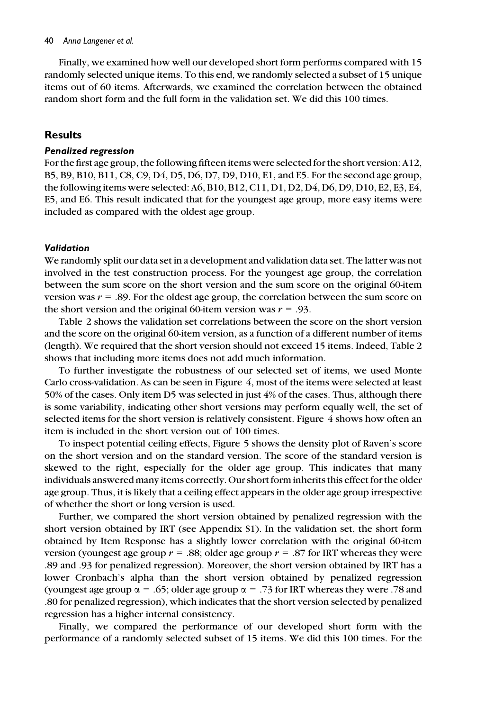#### 40 Anna Langener et al.

Finally, we examined how well our developed short form performs compared with 15 randomly selected unique items. To this end, we randomly selected a subset of 15 unique items out of 60 items. Afterwards, we examined the correlation between the obtained random short form and the full form in the validation set. We did this 100 times.

#### Results

#### Penalized regression

For the first age group, the following fifteen items were selected for the short version: A12, B5, B9, B10, B11, C8, C9, D4, D5, D6, D7, D9, D10, E1, and E5. For the second age group, the following items were selected: A6, B10, B12, C11, D1, D2, D4, D6, D9, D10, E2, E3, E4, E5, and E6. This result indicated that for the youngest age group, more easy items were included as compared with the oldest age group.

#### Validation

We randomly split our data set in a development and validation data set. The latter was not involved in the test construction process. For the youngest age group, the correlation between the sum score on the short version and the sum score on the original 60-item version was  $r = .89$ . For the oldest age group, the correlation between the sum score on the short version and the original 60-item version was  $r = .93$ .

Table 2 shows the validation set correlations between the score on the short version and the score on the original 60-item version, as a function of a different number of items (length). We required that the short version should not exceed 15 items. Indeed, Table 2 shows that including more items does not add much information.

To further investigate the robustness of our selected set of items, we used Monte Carlo cross-validation. As can be seen in Figure 4, most of the items were selected at least 50% of the cases. Only item D5 was selected in just 4% of the cases. Thus, although there is some variability, indicating other short versions may perform equally well, the set of selected items for the short version is relatively consistent. Figure 4 shows how often an item is included in the short version out of 100 times.

To inspect potential ceiling effects, Figure 5 shows the density plot of Raven's score on the short version and on the standard version. The score of the standard version is skewed to the right, especially for the older age group. This indicates that many individuals answered many items correctly. Our short form inherits this effect for the older age group. Thus, it is likely that a ceiling effect appears in the older age group irrespective of whether the short or long version is used.

Further, we compared the short version obtained by penalized regression with the short version obtained by IRT (see Appendix S1). In the validation set, the short form obtained by Item Response has a slightly lower correlation with the original 60-item version (youngest age group  $r = .88$ ; older age group  $r = .87$  for IRT whereas they were .89 and .93 for penalized regression). Moreover, the short version obtained by IRT has a lower Cronbach's alpha than the short version obtained by penalized regression (youngest age group  $\alpha = .65$ ; older age group  $\alpha = .73$  for IRT whereas they were .78 and .80 for penalized regression), which indicates that the short version selected by penalized regression has a higher internal consistency.

Finally, we compared the performance of our developed short form with the performance of a randomly selected subset of 15 items. We did this 100 times. For the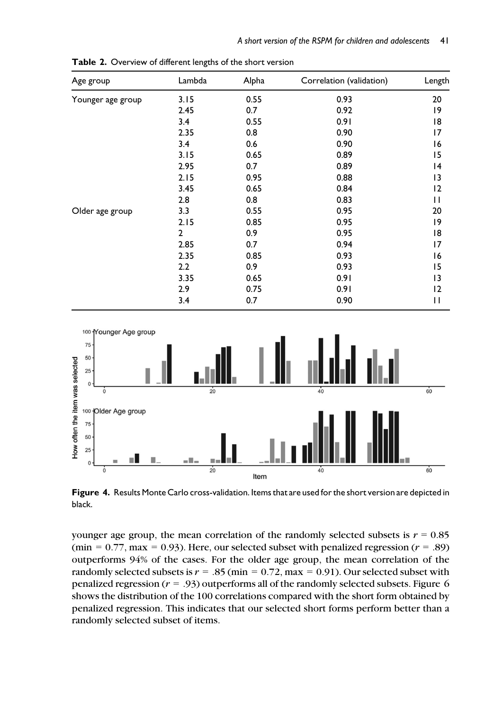| Age group         | Lambda       | Alpha | Correlation (validation) | Length       |
|-------------------|--------------|-------|--------------------------|--------------|
| Younger age group | 3.15         | 0.55  | 0.93                     | 20           |
|                   | 2.45         | 0.7   | 0.92                     | 19           |
|                   | 3.4          | 0.55  | 0.91                     | 18           |
|                   | 2.35         | 0.8   | 0.90                     | 17           |
|                   | 3.4          | 0.6   | 0.90                     | 16           |
|                   | 3.15         | 0.65  | 0.89                     | 15           |
|                   | 2.95         | 0.7   | 0.89                     | 14           |
|                   | 2.15         | 0.95  | 0.88                     | 13           |
|                   | 3.45         | 0.65  | 0.84                     | 2            |
|                   | 2.8          | 0.8   | 0.83                     | $\mathsf{I}$ |
| Older age group   | 3.3          | 0.55  | 0.95                     | 20           |
|                   | 2.15         | 0.85  | 0.95                     | 19           |
|                   | $\mathbf{2}$ | 0.9   | 0.95                     | 18           |
|                   | 2.85         | 0.7   | 0.94                     | 17           |
|                   | 2.35         | 0.85  | 0.93                     | 16           |
|                   | 2.2          | 0.9   | 0.93                     | 15           |
|                   | 3.35         | 0.65  | 0.91                     | 13           |
|                   | 2.9          | 0.75  | 0.91                     | 2            |
|                   | 3.4          | 0.7   | 0.90                     | $\mathsf{I}$ |

Table 2. Overview of different lengths of the short version



Figure 4. Results Monte Carlo cross-validation. Items that are used for the short version are depicted in black.

younger age group, the mean correlation of the randomly selected subsets is  $r = 0.85$ (min =  $0.77$ , max =  $0.93$ ). Here, our selected subset with penalized regression ( $r = .89$ ) outperforms 94% of the cases. For the older age group, the mean correlation of the randomly selected subsets is  $r = .85$  (min = 0.72, max = 0.91). Our selected subset with penalized regression  $(r = .93)$  outperforms all of the randomly selected subsets. Figure 6 shows the distribution of the 100 correlations compared with the short form obtained by penalized regression. This indicates that our selected short forms perform better than a randomly selected subset of items.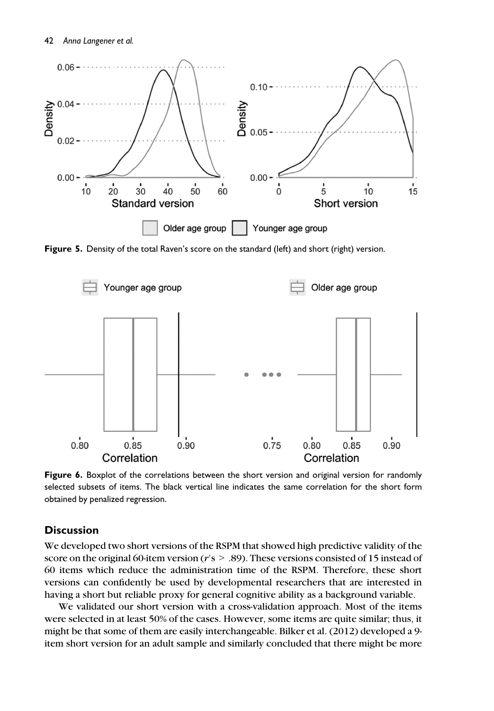

Figure 5. Density of the total Raven's score on the standard (left) and short (right) version.



Figure 6. Boxplot of the correlations between the short version and original version for randomly selected subsets of items. The black vertical line indicates the same correlation for the short form obtained by penalized regression.

## **Discussion**

We developed two short versions of the RSPM that showed high predictive validity of the score on the original 60-item version ( $r$ 's  $> 0.89$ ). These versions consisted of 15 instead of 60 items which reduce the administration time of the RSPM. Therefore, these short versions can confidently be used by developmental researchers that are interested in having a short but reliable proxy for general cognitive ability as a background variable.

We validated our short version with a cross-validation approach. Most of the items were selected in at least 50% of the cases. However, some items are quite similar; thus, it might be that some of them are easily interchangeable. Bilker et al. (2012) developed a 9 item short version for an adult sample and similarly concluded that there might be more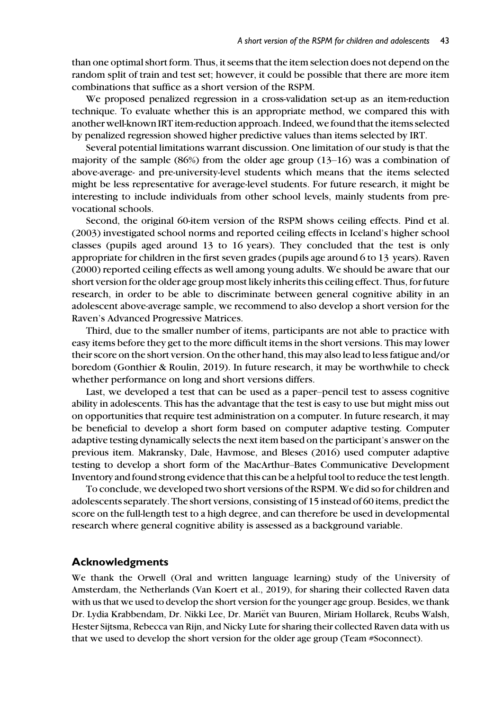than one optimal short form. Thus, it seems that the item selection does not depend on the random split of train and test set; however, it could be possible that there are more item combinations that suffice as a short version of the RSPM.

We proposed penalized regression in a cross-validation set-up as an item-reduction technique. To evaluate whether this is an appropriate method, we compared this with another well-known IRT item-reduction approach. Indeed, we found that the items selected by penalized regression showed higher predictive values than items selected by IRT.

Several potential limitations warrant discussion. One limitation of our study is that the majority of the sample (86%) from the older age group (13–16) was a combination of above-average- and pre-university-level students which means that the items selected might be less representative for average-level students. For future research, it might be interesting to include individuals from other school levels, mainly students from prevocational schools.

Second, the original 60-item version of the RSPM shows ceiling effects. Pind et al. (2003) investigated school norms and reported ceiling effects in Iceland's higher school classes (pupils aged around 13 to 16 years). They concluded that the test is only appropriate for children in the first seven grades (pupils age around 6 to 13 years). Raven (2000) reported ceiling effects as well among young adults. We should be aware that our short version for the older age group most likely inherits this ceiling effect. Thus, for future research, in order to be able to discriminate between general cognitive ability in an adolescent above-average sample, we recommend to also develop a short version for the Raven's Advanced Progressive Matrices.

Third, due to the smaller number of items, participants are not able to practice with easy items before they get to the more difficult items in the short versions. This may lower their score on the short version. On the other hand, this may also lead to less fatigue and/or boredom (Gonthier & Roulin, 2019). In future research, it may be worthwhile to check whether performance on long and short versions differs.

Last, we developed a test that can be used as a paper–pencil test to assess cognitive ability in adolescents. This has the advantage that the test is easy to use but might miss out on opportunities that require test administration on a computer. In future research, it may be beneficial to develop a short form based on computer adaptive testing. Computer adaptive testing dynamically selects the next item based on the participant's answer on the previous item. Makransky, Dale, Havmose, and Bleses (2016) used computer adaptive testing to develop a short form of the MacArthur–Bates Communicative Development Inventory and found strong evidence that this can be a helpful tool to reduce the test length.

To conclude, we developed two short versions of the RSPM. We did so for children and adolescents separately. The short versions, consisting of 15 instead of 60 items, predict the score on the full-length test to a high degree, and can therefore be used in developmental research where general cognitive ability is assessed as a background variable.

#### Acknowledgments

We thank the Orwell (Oral and written language learning) study of the University of Amsterdam, the Netherlands (Van Koert et al., 2019), for sharing their collected Raven data with us that we used to develop the short version for the younger age group. Besides, we thank Dr. Lydia Krabbendam, Dr. Nikki Lee, Dr. Mariët van Buuren, Miriam Hollarek, Reubs Walsh, Hester Sijtsma, Rebecca van Rijn, and Nicky Lute for sharing their collected Raven data with us that we used to develop the short version for the older age group (Team #Soconnect).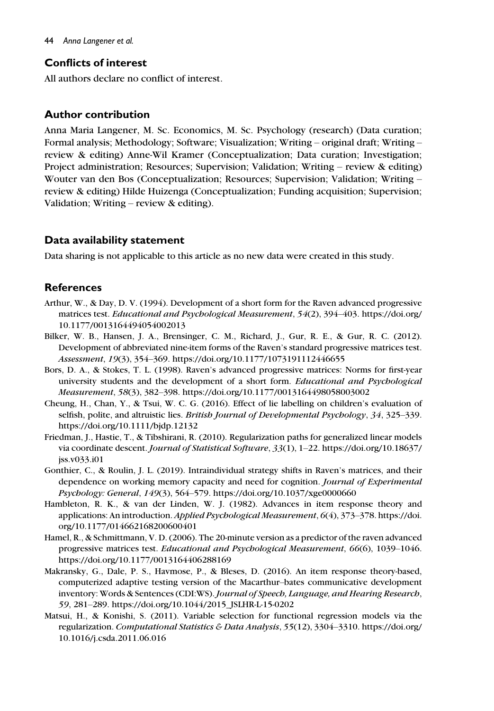## Conflicts of interest

All authors declare no conflict of interest.

## Author contribution

Anna Maria Langener, M. Sc. Economics, M. Sc. Psychology (research) (Data curation; Formal analysis; Methodology; Software; Visualization; Writing – original draft; Writing – review & editing) Anne-Wil Kramer (Conceptualization; Data curation; Investigation; Project administration; Resources; Supervision; Validation; Writing – review & editing) Wouter van den Bos (Conceptualization; Resources; Supervision; Validation; Writing – review & editing) Hilde Huizenga (Conceptualization; Funding acquisition; Supervision; Validation; Writing – review & editing).

# Data availability statement

Data sharing is not applicable to this article as no new data were created in this study.

# **References**

- Arthur, W., & Day, D. V. (1994). Development of a short form for the Raven advanced progressive matrices test. Educational and Psychological Measurement, 54(2), 394–403. [https://doi.org/](https://doi.org/10.1177/0013164494054002013) [10.1177/0013164494054002013](https://doi.org/10.1177/0013164494054002013)
- Bilker, W. B., Hansen, J. A., Brensinger, C. M., Richard, J., Gur, R. E., & Gur, R. C. (2012). Development of abbreviated nine-item forms of the Raven's standard progressive matrices test. Assessment, 19(3), 354–369.<https://doi.org/10.1177/1073191112446655>
- Bors, D. A., & Stokes, T. L. (1998). Raven's advanced progressive matrices: Norms for first-year university students and the development of a short form. Educational and Psychological Measurement, 58(3), 382–398.<https://doi.org/10.1177/0013164498058003002>
- Cheung, H., Chan, Y., & Tsui, W. C. G. (2016). Effect of lie labelling on children's evaluation of selfish, polite, and altruistic lies. British Journal of Developmental Psychology, 34, 325–339. <https://doi.org/10.1111/bjdp.12132>
- Friedman, J., Hastie, T., & Tibshirani, R. (2010). Regularization paths for generalized linear models via coordinate descent. Journal of Statistical Software, 33(1), 1–22. [https://doi.org/10.18637/](https://doi.org/10.18637/jss.v033.i01) [jss.v033.i01](https://doi.org/10.18637/jss.v033.i01)
- Gonthier, C., & Roulin, J. L. (2019). Intraindividual strategy shifts in Raven's matrices, and their dependence on working memory capacity and need for cognition. Journal of Experimental Psychology: General, 149(3), 564–579.<https://doi.org/10.1037/xge0000660>
- Hambleton, R. K., & van der Linden, W. J. (1982). Advances in item response theory and applications: An introduction. Applied Psychological Measurement, 6(4), 373–378. [https://doi.](https://doi.org/10.1177/014662168200600401) [org/10.1177/014662168200600401](https://doi.org/10.1177/014662168200600401)
- Hamel, R., & Schmittmann, V. D. (2006). The 20-minute version as a predictor of the raven advanced progressive matrices test. Educational and Psychological Measurement, 66(6), 1039–1046. <https://doi.org/10.1177/0013164406288169>
- Makransky, G., Dale, P. S., Havmose, P., & Bleses, D. (2016). An item response theory-based, computerized adaptive testing version of the Macarthur–bates communicative development inventory: Words & Sentences (CDI:WS). Journal of Speech, Language, and Hearing Research, 59, 281–289. [https://doi.org/10.1044/2015\\_JSLHR-L-15-0202](https://doi.org/10.1044/2015_JSLHR-L-15-0202)
- Matsui, H., & Konishi, S. (2011). Variable selection for functional regression models via the regularization. Computational Statistics & Data Analysis, 55(12), 3304–3310. [https://doi.org/](https://doi.org/10.1016/j.csda.2011.06.016) [10.1016/j.csda.2011.06.016](https://doi.org/10.1016/j.csda.2011.06.016)